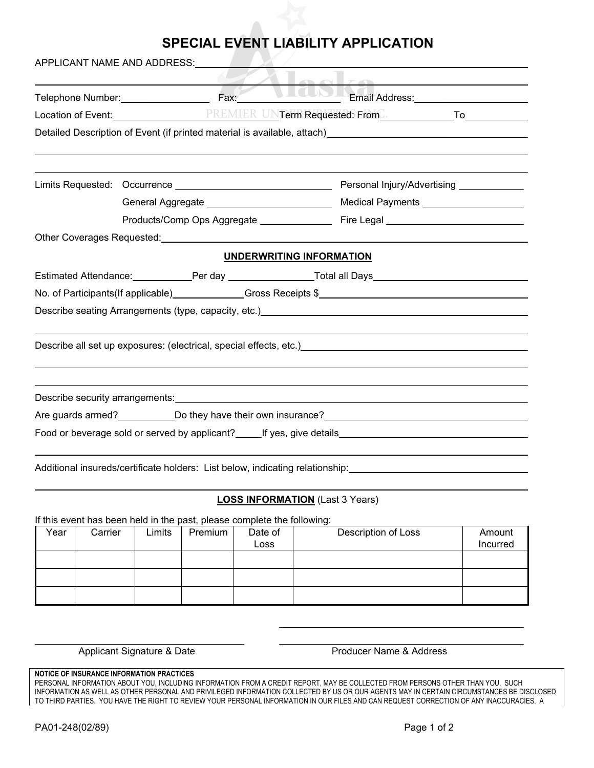## **SPECIAL EVENT LIABILITY APPLICATION**

| APPLICANT NAME AND ADDRESS: VALUE |  |                                 |                                                                                                                                                                                                                                      |  |  |  |  |
|-----------------------------------|--|---------------------------------|--------------------------------------------------------------------------------------------------------------------------------------------------------------------------------------------------------------------------------------|--|--|--|--|
|                                   |  | $\cap$ $\cap$ $\Box$            | Telephone Number: Fax: Fax: Email Address: Email Address:                                                                                                                                                                            |  |  |  |  |
|                                   |  |                                 | Detailed Description of Event (if printed material is available, attach) [1997] [1998] [1998] [1998] [1998] [1                                                                                                                       |  |  |  |  |
|                                   |  |                                 |                                                                                                                                                                                                                                      |  |  |  |  |
|                                   |  |                                 |                                                                                                                                                                                                                                      |  |  |  |  |
|                                   |  |                                 |                                                                                                                                                                                                                                      |  |  |  |  |
|                                   |  |                                 |                                                                                                                                                                                                                                      |  |  |  |  |
|                                   |  | <b>UNDERWRITING INFORMATION</b> |                                                                                                                                                                                                                                      |  |  |  |  |
|                                   |  |                                 |                                                                                                                                                                                                                                      |  |  |  |  |
|                                   |  |                                 |                                                                                                                                                                                                                                      |  |  |  |  |
|                                   |  |                                 | Describe seating Arrangements (type, capacity, etc.) [2012] [2013] [2013] [2014] [2014] [2014] [2014] [2014] [                                                                                                                       |  |  |  |  |
|                                   |  |                                 | Describe all set up exposures: (electrical, special effects, etc.) <b>Contract and Contract and Contract and Contract and Contract and Contract and Contract and Contract and Contract and Contract and Contract and Contract an</b> |  |  |  |  |
|                                   |  |                                 |                                                                                                                                                                                                                                      |  |  |  |  |
|                                   |  |                                 |                                                                                                                                                                                                                                      |  |  |  |  |
|                                   |  |                                 |                                                                                                                                                                                                                                      |  |  |  |  |
|                                   |  |                                 | Additional insureds/certificate holders: List below, indicating relationship:                                                                                                                                                        |  |  |  |  |

## **LOSS INFORMATION** (Last 3 Years)

If this event has been held in the past, please complete the following:

| Year | Carrier | Limits | Premium | Date of<br>Loss | Description of Loss | Amount<br>Incurred |
|------|---------|--------|---------|-----------------|---------------------|--------------------|
|      |         |        |         |                 |                     |                    |
|      |         |        |         |                 |                     |                    |
|      |         |        |         |                 |                     |                    |

Applicant Signature & Date **Access** Producer Name & Address

## **NOTICE OF INSURANCE INFORMATION PRACTICES**

PERSONAL INFORMATION ABOUT YOU, INCLUDING INFORMATION FROM A CREDIT REPORT, MAY BE COLLECTED FROM PERSONS OTHER THAN YOU. SUCH INFORMATION AS WELL AS OTHER PERSONAL AND PRIVILEGED INFORMATION COLLECTED BY US OR OUR AGENTS MAY IN CERTAIN CIRCUMSTANCES BE DISCLOSED TO THIRD PARTIES. YOU HAVE THE RIGHT TO REVIEW YOUR PERSONAL INFORMATION IN OUR FILES AND CAN REQUEST CORRECTION OF ANY INACCURACIES. A